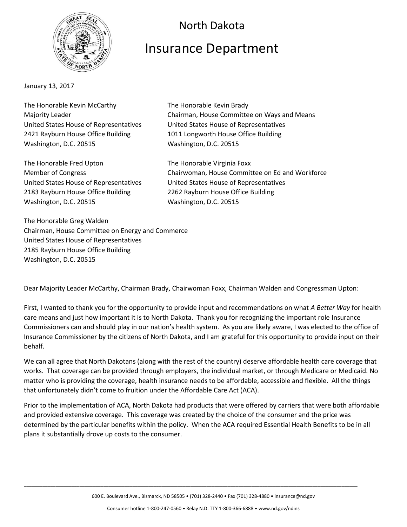

January 13, 2017

The Honorable Kevin McCarthy The Honorable Kevin Brady United States House of Representatives United States House of Representatives 2421 Rayburn House Office Building 1011 Longworth House Office Building Washington, D.C. 20515 Washington, D.C. 20515

The Honorable Fred Upton The Honorable Virginia Foxx 2183 Rayburn House Office Building 2262 Rayburn House Office Building Washington, D.C. 20515 Washington, D.C. 20515

Majority Leader **Chairman, House Committee on Ways and Means** 

North Dakota

Insurance Department

Member of Congress Chairwoman, House Committee on Ed and Workforce United States House of Representatives United States House of Representatives

The Honorable Greg Walden Chairman, House Committee on Energy and Commerce United States House of Representatives 2185 Rayburn House Office Building Washington, D.C. 20515

Dear Majority Leader McCarthy, Chairman Brady, Chairwoman Foxx, Chairman Walden and Congressman Upton:

First, I wanted to thank you for the opportunity to provide input and recommendations on what *A Better Way* for health care means and just how important it is to North Dakota. Thank you for recognizing the important role Insurance Commissioners can and should play in our nation's health system. As you are likely aware, I was elected to the office of Insurance Commissioner by the citizens of North Dakota, and I am grateful for this opportunity to provide input on their behalf.

We can all agree that North Dakotans (along with the rest of the country) deserve affordable health care coverage that works. That coverage can be provided through employers, the individual market, or through Medicare or Medicaid. No matter who is providing the coverage, health insurance needs to be affordable, accessible and flexible. All the things that unfortunately didn't come to fruition under the Affordable Care Act (ACA).

Prior to the implementation of ACA, North Dakota had products that were offered by carriers that were both affordable and provided extensive coverage. This coverage was created by the choice of the consumer and the price was determined by the particular benefits within the policy. When the ACA required Essential Health Benefits to be in all plans it substantially drove up costs to the consumer.

600 E. Boulevard Ave., Bismarck, ND 58505 • (701) 328-2440 • Fax (701) 328-4880 • insurance@nd.gov

\_\_\_\_\_\_\_\_\_\_\_\_\_\_\_\_\_\_\_\_\_\_\_\_\_\_\_\_\_\_\_\_\_\_\_\_\_\_\_\_\_\_\_\_\_\_\_\_\_\_\_\_\_\_\_\_\_\_\_\_\_\_\_\_\_\_\_\_\_\_\_\_\_\_\_\_\_\_\_\_\_\_\_\_\_\_\_\_\_\_\_\_\_\_\_\_\_\_\_\_\_\_\_\_\_\_\_\_\_\_\_\_\_\_\_\_\_\_\_\_\_\_\_\_\_\_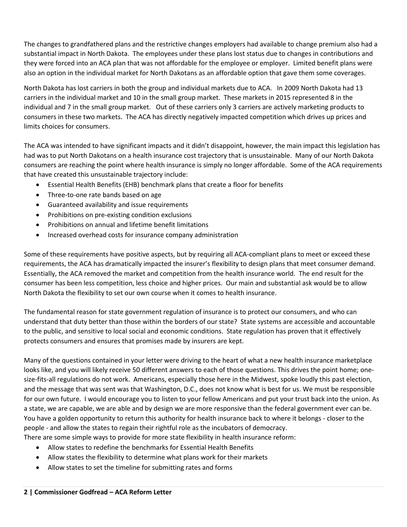The changes to grandfathered plans and the restrictive changes employers had available to change premium also had a substantial impact in North Dakota. The employees under these plans lost status due to changes in contributions and they were forced into an ACA plan that was not affordable for the employee or employer. Limited benefit plans were also an option in the individual market for North Dakotans as an affordable option that gave them some coverages.

North Dakota has lost carriers in both the group and individual markets due to ACA. In 2009 North Dakota had 13 carriers in the individual market and 10 in the small group market. These markets in 2015 represented 8 in the individual and 7 in the small group market. Out of these carriers only 3 carriers are actively marketing products to consumers in these two markets. The ACA has directly negatively impacted competition which drives up prices and limits choices for consumers.

The ACA was intended to have significant impacts and it didn't disappoint, however, the main impact this legislation has had was to put North Dakotans on a health insurance cost trajectory that is unsustainable. Many of our North Dakota consumers are reaching the point where health insurance is simply no longer affordable. Some of the ACA requirements that have created this unsustainable trajectory include:

- Essential Health Benefits (EHB) benchmark plans that create a floor for benefits
- Three-to-one rate bands based on age
- Guaranteed availability and issue requirements
- Prohibitions on pre-existing condition exclusions
- Prohibitions on annual and lifetime benefit limitations
- Increased overhead costs for insurance company administration

Some of these requirements have positive aspects, but by requiring all ACA-compliant plans to meet or exceed these requirements, the ACA has dramatically impacted the insurer's flexibility to design plans that meet consumer demand. Essentially, the ACA removed the market and competition from the health insurance world. The end result for the consumer has been less competition, less choice and higher prices. Our main and substantial ask would be to allow North Dakota the flexibility to set our own course when it comes to health insurance.

The fundamental reason for state government regulation of insurance is to protect our consumers, and who can understand that duty better than those within the borders of our state? State systems are accessible and accountable to the public, and sensitive to local social and economic conditions. State regulation has proven that it effectively protects consumers and ensures that promises made by insurers are kept.

Many of the questions contained in your letter were driving to the heart of what a new health insurance marketplace looks like, and you will likely receive 50 different answers to each of those questions. This drives the point home; onesize-fits-all regulations do not work. Americans, especially those here in the Midwest, spoke loudly this past election, and the message that was sent was that Washington, D.C., does not know what is best for us. We must be responsible for our own future. I would encourage you to listen to your fellow Americans and put your trust back into the union. As a state, we are capable, we are able and by design we are more responsive than the federal government ever can be. You have a golden opportunity to return this authority for health insurance back to where it belongs - closer to the people - and allow the states to regain their rightful role as the incubators of democracy. There are some simple ways to provide for more state flexibility in health insurance reform:

- Allow states to redefine the benchmarks for Essential Health Benefits
- Allow states the flexibility to determine what plans work for their markets
- Allow states to set the timeline for submitting rates and forms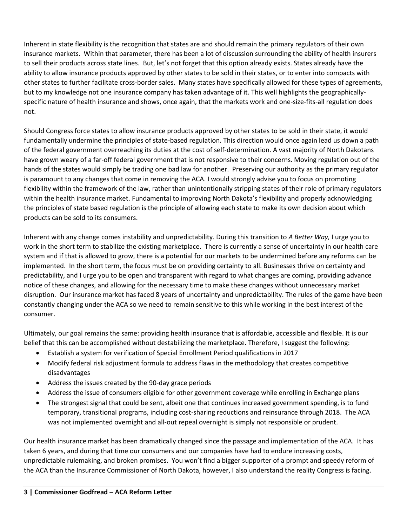Inherent in state flexibility is the recognition that states are and should remain the primary regulators of their own insurance markets. Within that parameter, there has been a lot of discussion surrounding the ability of health insurers to sell their products across state lines. But, let's not forget that this option already exists. States already have the ability to allow insurance products approved by other states to be sold in their states, or to enter into compacts with other states to further facilitate cross-border sales. Many states have specifically allowed for these types of agreements, but to my knowledge not one insurance company has taken advantage of it. This well highlights the geographicallyspecific nature of health insurance and shows, once again, that the markets work and one-size-fits-all regulation does not.

Should Congress force states to allow insurance products approved by other states to be sold in their state, it would fundamentally undermine the principles of state-based regulation. This direction would once again lead us down a path of the federal government overreaching its duties at the cost of self-determination. A vast majority of North Dakotans have grown weary of a far-off federal government that is not responsive to their concerns. Moving regulation out of the hands of the states would simply be trading one bad law for another. Preserving our authority as the primary regulator is paramount to any changes that come in removing the ACA. I would strongly advise you to focus on promoting flexibility within the framework of the law, rather than unintentionally stripping states of their role of primary regulators within the health insurance market. Fundamental to improving North Dakota's flexibility and properly acknowledging the principles of state based regulation is the principle of allowing each state to make its own decision about which products can be sold to its consumers.

Inherent with any change comes instability and unpredictability. During this transition to *A Better Way,* I urge you to work in the short term to stabilize the existing marketplace. There is currently a sense of uncertainty in our health care system and if that is allowed to grow, there is a potential for our markets to be undermined before any reforms can be implemented. In the short term, the focus must be on providing certainty to all. Businesses thrive on certainty and predictability, and I urge you to be open and transparent with regard to what changes are coming, providing advance notice of these changes, and allowing for the necessary time to make these changes without unnecessary market disruption. Our insurance market has faced 8 years of uncertainty and unpredictability. The rules of the game have been constantly changing under the ACA so we need to remain sensitive to this while working in the best interest of the consumer.

Ultimately, our goal remains the same: providing health insurance that is affordable, accessible and flexible. It is our belief that this can be accomplished without destabilizing the marketplace. Therefore, I suggest the following:

- Establish a system for verification of Special Enrollment Period qualifications in 2017
- Modify federal risk adjustment formula to address flaws in the methodology that creates competitive disadvantages
- Address the issues created by the 90-day grace periods
- Address the issue of consumers eligible for other government coverage while enrolling in Exchange plans
- The strongest signal that could be sent, albeit one that continues increased government spending, is to fund temporary, transitional programs, including cost-sharing reductions and reinsurance through 2018. The ACA was not implemented overnight and all-out repeal overnight is simply not responsible or prudent.

Our health insurance market has been dramatically changed since the passage and implementation of the ACA. It has taken 6 years, and during that time our consumers and our companies have had to endure increasing costs, unpredictable rulemaking, and broken promises. You won't find a bigger supporter of a prompt and speedy reform of the ACA than the Insurance Commissioner of North Dakota, however, I also understand the reality Congress is facing.